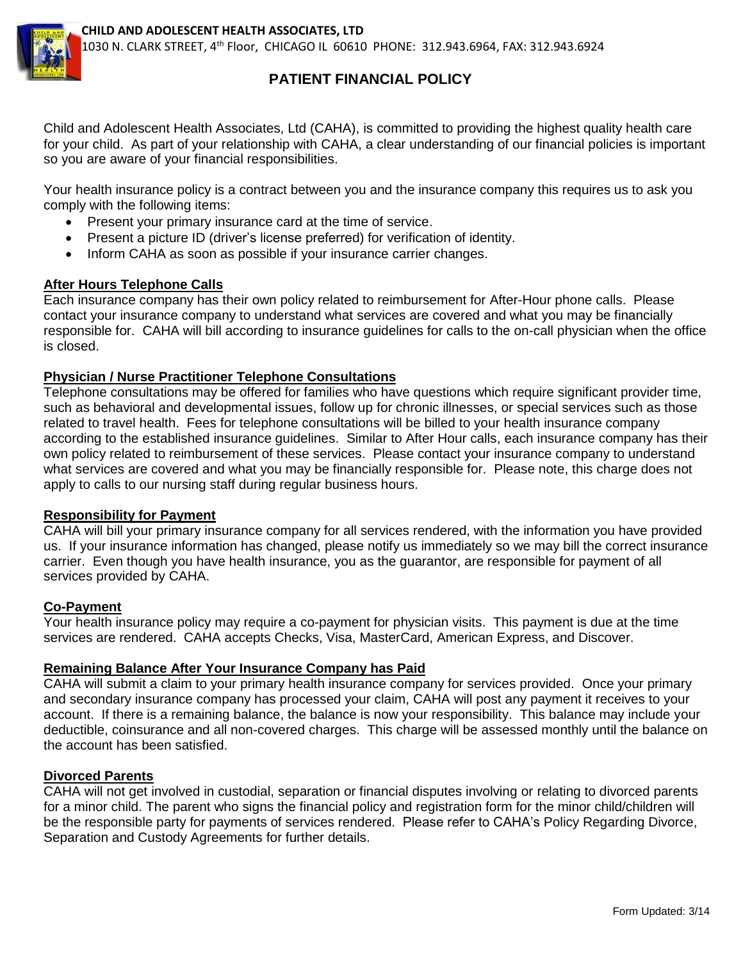

# **PATIENT FINANCIAL POLICY**

Child and Adolescent Health Associates, Ltd (CAHA), is committed to providing the highest quality health care for your child. As part of your relationship with CAHA, a clear understanding of our financial policies is important so you are aware of your financial responsibilities.

Your health insurance policy is a contract between you and the insurance company this requires us to ask you comply with the following items:

- Present your primary insurance card at the time of service.
- Present a picture ID (driver's license preferred) for verification of identity.
- Inform CAHA as soon as possible if your insurance carrier changes.

### **After Hours Telephone Calls**

Each insurance company has their own policy related to reimbursement for After-Hour phone calls. Please contact your insurance company to understand what services are covered and what you may be financially responsible for. CAHA will bill according to insurance guidelines for calls to the on-call physician when the office is closed.

#### **Physician / Nurse Practitioner Telephone Consultations**

Telephone consultations may be offered for families who have questions which require significant provider time, such as behavioral and developmental issues, follow up for chronic illnesses, or special services such as those related to travel health. Fees for telephone consultations will be billed to your health insurance company according to the established insurance guidelines. Similar to After Hour calls, each insurance company has their own policy related to reimbursement of these services. Please contact your insurance company to understand what services are covered and what you may be financially responsible for. Please note, this charge does not apply to calls to our nursing staff during regular business hours.

#### **Responsibility for Payment**

CAHA will bill your primary insurance company for all services rendered, with the information you have provided us. If your insurance information has changed, please notify us immediately so we may bill the correct insurance carrier. Even though you have health insurance, you as the guarantor, are responsible for payment of all services provided by CAHA.

#### **Co-Payment**

Your health insurance policy may require a co-payment for physician visits. This payment is due at the time services are rendered. CAHA accepts Checks, Visa, MasterCard, American Express, and Discover.

#### **Remaining Balance After Your Insurance Company has Paid**

CAHA will submit a claim to your primary health insurance company for services provided. Once your primary and secondary insurance company has processed your claim, CAHA will post any payment it receives to your account. If there is a remaining balance, the balance is now your responsibility. This balance may include your deductible, coinsurance and all non-covered charges. This charge will be assessed monthly until the balance on the account has been satisfied.

### **Divorced Parents**

CAHA will not get involved in custodial, separation or financial disputes involving or relating to divorced parents for a minor child. The parent who signs the financial policy and registration form for the minor child/children will be the responsible party for payments of services rendered. Please refer to CAHA's Policy Regarding Divorce, Separation and Custody Agreements for further details.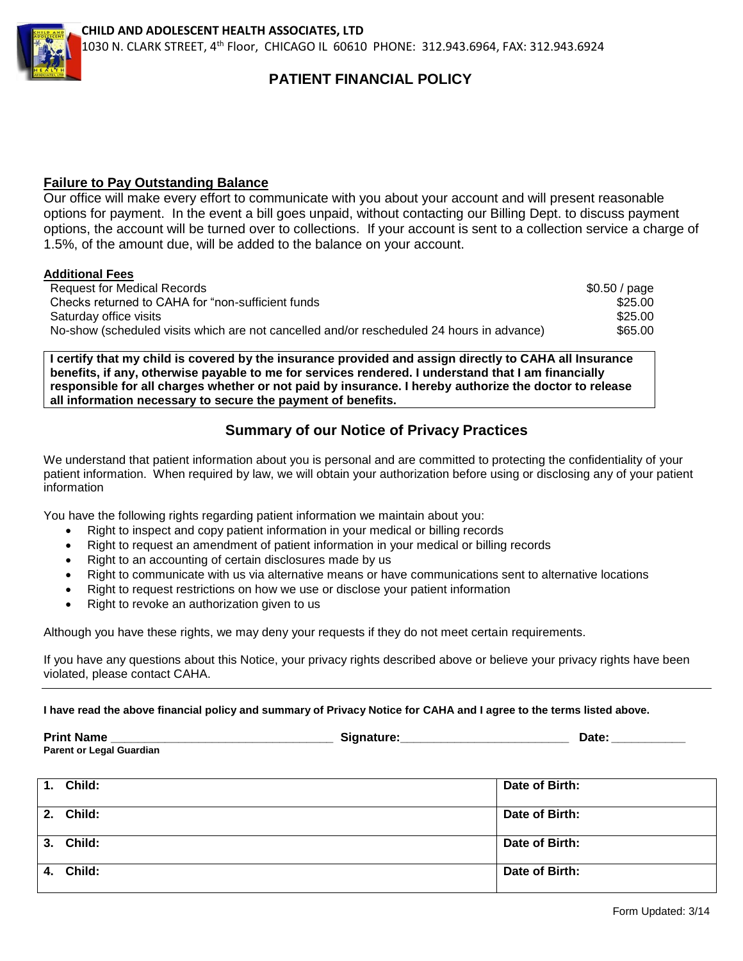

## **PATIENT FINANCIAL POLICY**

#### **Failure to Pay Outstanding Balance**

Our office will make every effort to communicate with you about your account and will present reasonable options for payment. In the event a bill goes unpaid, without contacting our Billing Dept. to discuss payment options, the account will be turned over to collections. If your account is sent to a collection service a charge of 1.5%, of the amount due, will be added to the balance on your account.

#### **Additional Fees**

| <b>Request for Medical Records</b>                                                        | \$0.50 / page |
|-------------------------------------------------------------------------------------------|---------------|
| Checks returned to CAHA for "non-sufficient funds"                                        | \$25.00       |
| Saturday office visits                                                                    | \$25.00       |
| No-show (scheduled visits which are not cancelled and/or rescheduled 24 hours in advance) | \$65.00       |

**I certify that my child is covered by the insurance provided and assign directly to CAHA all Insurance benefits, if any, otherwise payable to me for services rendered. I understand that I am financially responsible for all charges whether or not paid by insurance. I hereby authorize the doctor to release all information necessary to secure the payment of benefits.** 

## **Summary of our Notice of Privacy Practices**

We understand that patient information about you is personal and are committed to protecting the confidentiality of your patient information. When required by law, we will obtain your authorization before using or disclosing any of your patient information

You have the following rights regarding patient information we maintain about you:

- Right to inspect and copy patient information in your medical or billing records
- Right to request an amendment of patient information in your medical or billing records
- Right to an accounting of certain disclosures made by us
- Right to communicate with us via alternative means or have communications sent to alternative locations
- Right to request restrictions on how we use or disclose your patient information
- Right to revoke an authorization given to us

Although you have these rights, we may deny your requests if they do not meet certain requirements.

If you have any questions about this Notice, your privacy rights described above or believe your privacy rights have been violated, please contact CAHA.

**I have read the above financial policy and summary of Privacy Notice for CAHA and I agree to the terms listed above.**

| <b>Print Name</b>               |  |
|---------------------------------|--|
| <b>Parent or Legal Guardian</b> |  |

| 1. Child: | Date of Birth: |
|-----------|----------------|
| 2. Child: | Date of Birth: |
| 3. Child: | Date of Birth: |
| 4. Child: | Date of Birth: |